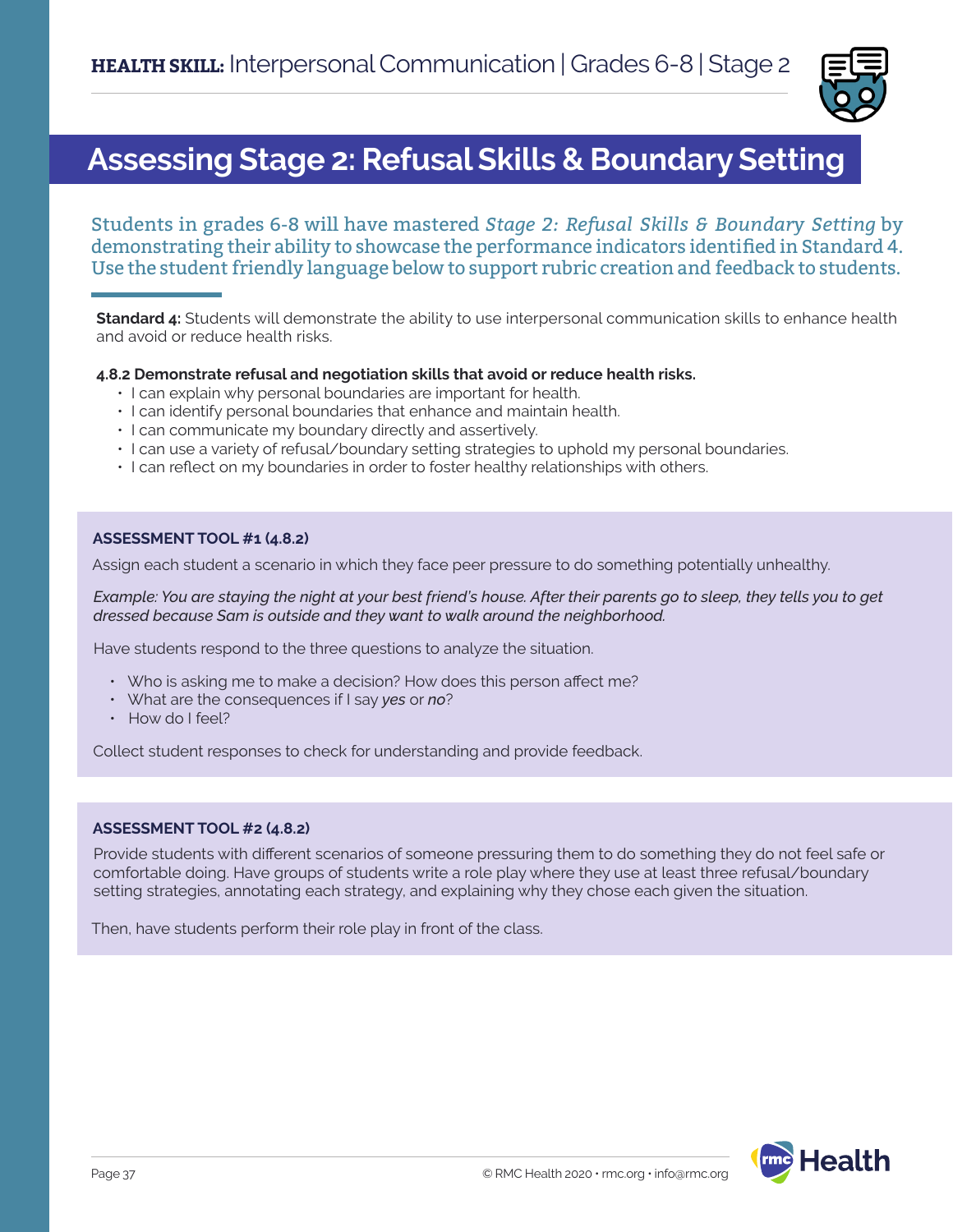

### **Assessing Stage 2: Refusal Skills & Boundary Setting**

Students in grades 6-8 will have mastered *Stage 2: Refusal Skills & Boundary Setting* by demonstrating their ability to showcase the performance indicators identified in Standard 4. Use the student friendly language below to support rubric creation and feedback to students.

**Standard 4:** Students will demonstrate the ability to use interpersonal communication skills to enhance health and avoid or reduce health risks.

#### **4.8.2 Demonstrate refusal and negotiation skills that avoid or reduce health risks.**

- I can explain why personal boundaries are important for health.
- I can identify personal boundaries that enhance and maintain health.
- I can communicate my boundary directly and assertively.
- I can use a variety of refusal/boundary setting strategies to uphold my personal boundaries.
- I can reflect on my boundaries in order to foster healthy relationships with others.

#### **ASSESSMENT TOOL #1 (4.8.2)**

Assign each student a scenario in which they face peer pressure to do something potentially unhealthy.

*Example: You are staying the night at your best friend's house. After their parents go to sleep, they tells you to get dressed because Sam is outside and they want to walk around the neighborhood.* 

Have students respond to the three questions to analyze the situation.

- Who is asking me to make a decision? How does this person affect me?
- What are the consequences if I say *yes* or *no*?
- How do I feel?

Collect student responses to check for understanding and provide feedback.

#### **ASSESSMENT TOOL #2 (4.8.2)**

Provide students with different scenarios of someone pressuring them to do something they do not feel safe or comfortable doing. Have groups of students write a role play where they use at least three refusal/boundary setting strategies, annotating each strategy, and explaining why they chose each given the situation.

Then, have students perform their role play in front of the class.

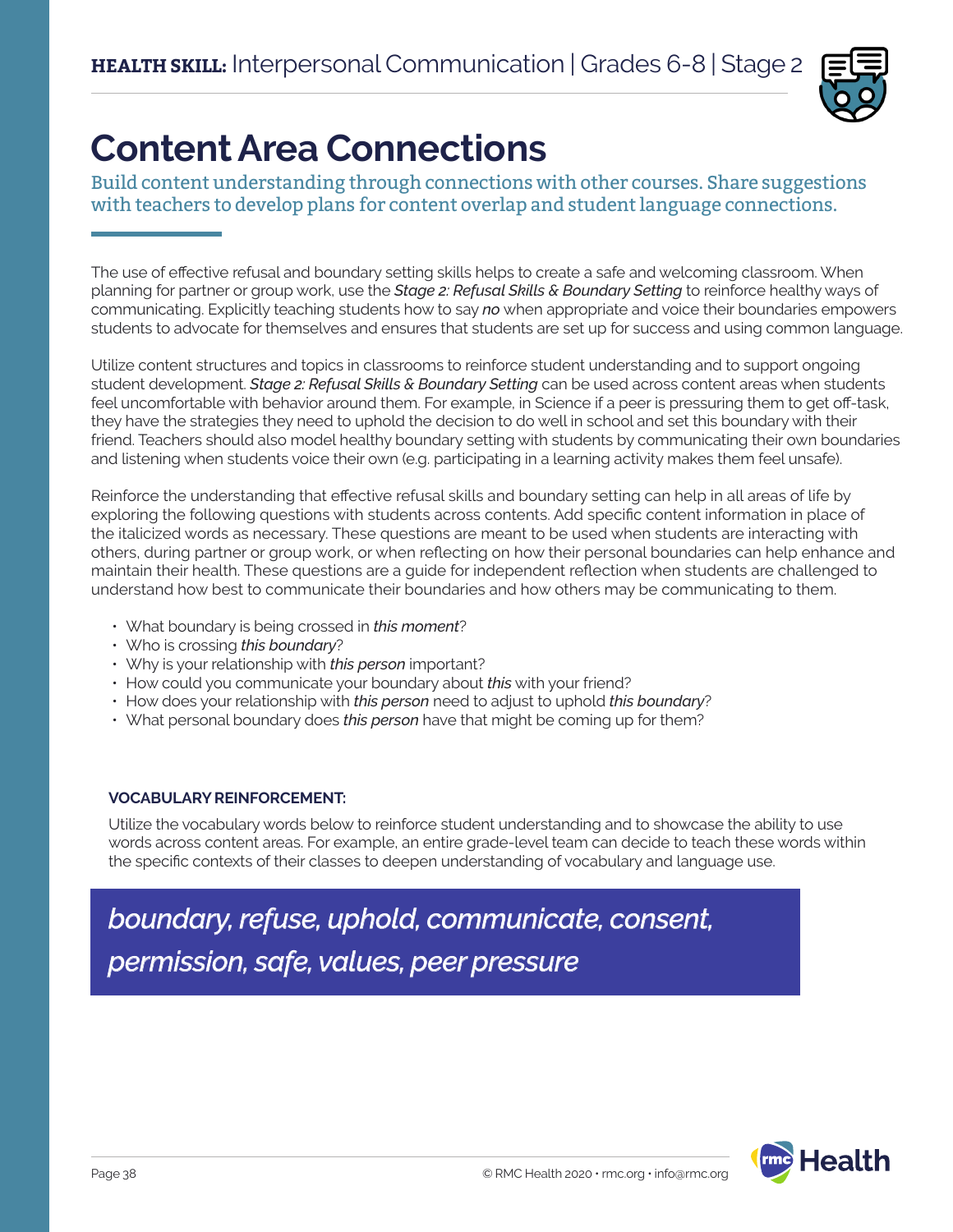

# **Content Area Connections**

Build content understanding through connections with other courses. Share suggestions with teachers to develop plans for content overlap and student language connections.

The use of effective refusal and boundary setting skills helps to create a safe and welcoming classroom. When planning for partner or group work, use the *Stage 2: Refusal Skills & Boundary Setting* to reinforce healthy ways of communicating. Explicitly teaching students how to say *no* when appropriate and voice their boundaries empowers students to advocate for themselves and ensures that students are set up for success and using common language.

Utilize content structures and topics in classrooms to reinforce student understanding and to support ongoing student development. *Stage 2: Refusal Skills & Boundary Setting* can be used across content areas when students feel uncomfortable with behavior around them. For example, in Science if a peer is pressuring them to get off-task, they have the strategies they need to uphold the decision to do well in school and set this boundary with their friend. Teachers should also model healthy boundary setting with students by communicating their own boundaries and listening when students voice their own (e.g. participating in a learning activity makes them feel unsafe).

Reinforce the understanding that effective refusal skills and boundary setting can help in all areas of life by exploring the following questions with students across contents. Add specific content information in place of the italicized words as necessary. These questions are meant to be used when students are interacting with others, during partner or group work, or when reflecting on how their personal boundaries can help enhance and maintain their health. These questions are a guide for independent reflection when students are challenged to understand how best to communicate their boundaries and how others may be communicating to them.

- What boundary is being crossed in *this moment*?
- Who is crossing *this boundary*?
- Why is your relationship with *this person* important?
- How could you communicate your boundary about *this* with your friend?
- How does your relationship with *this person* need to adjust to uphold *this boundary*?
- What personal boundary does *this person* have that might be coming up for them?

### **VOCABULARY REINFORCEMENT:**

Utilize the vocabulary words below to reinforce student understanding and to showcase the ability to use words across content areas. For example, an entire grade-level team can decide to teach these words within the specific contexts of their classes to deepen understanding of vocabulary and language use.

*boundary, refuse, uphold, communicate, consent, permission, safe, values, peer pressure*